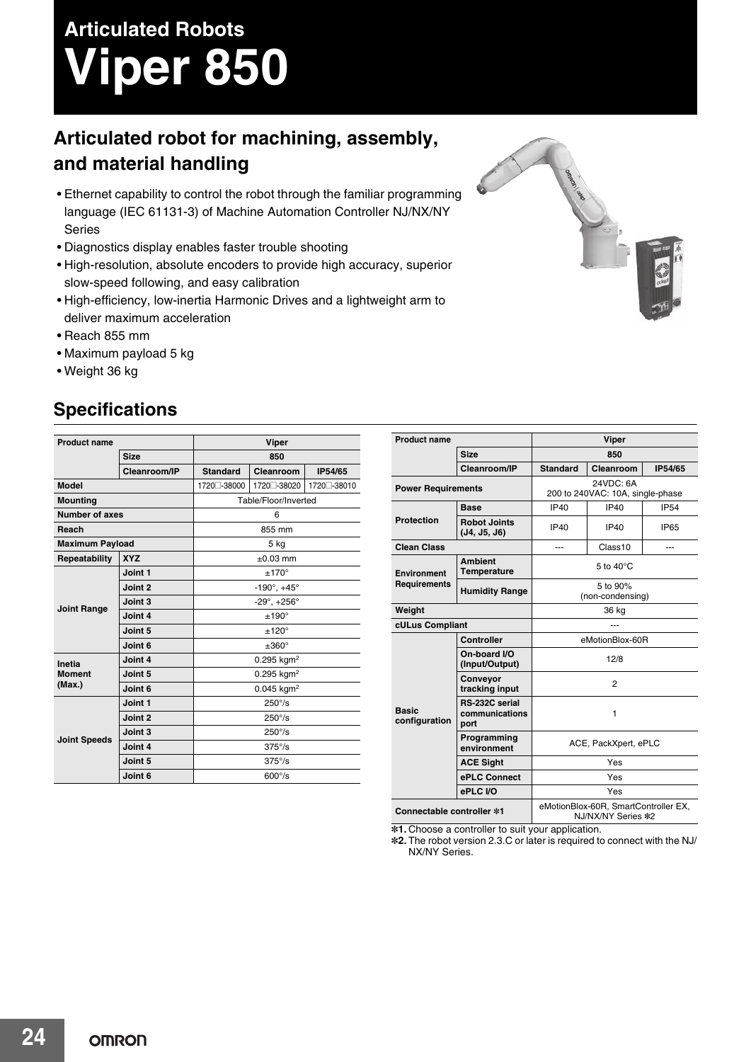# **Articulated Robots Viper 850**

## **Articulated robot for machining, assembly, and material handling**

- Ethernet capability to control the robot through the familiar programming language (IEC 61131-3) of Machine Automation Controller NJ/NX/NY Series
- Diagnostics display enables faster trouble shooting
- High-resolution, absolute encoders to provide high accuracy, superior slow-speed following, and easy calibration
- High-efficiency, low-inertia Harmonic Drives and a lightweight arm to deliver maximum acceleration
- Reach 855 mm
- Maximum payload 5 kg
- Weight 36 kg

### **Specifications**

| <b>Product name</b>               |              | Viper                          |              |              |  |  |
|-----------------------------------|--------------|--------------------------------|--------------|--------------|--|--|
|                                   | <b>Size</b>  |                                | 850          |              |  |  |
|                                   | Cleanroom/IP | <b>Standard</b>                | Cleanroom    | IP54/65      |  |  |
| <b>Model</b>                      |              | 1720 - 38000                   | 1720 - 38020 | 1720 - 38010 |  |  |
| <b>Mounting</b>                   |              | Table/Floor/Inverted           |              |              |  |  |
| <b>Number of axes</b>             |              | 6                              |              |              |  |  |
| Reach                             |              | 855 mm                         |              |              |  |  |
| <b>Maximum Payload</b>            |              | 5 kg                           |              |              |  |  |
| Repeatability                     | <b>XYZ</b>   | $\pm 0.03$ mm                  |              |              |  |  |
| <b>Joint Range</b>                | Joint 1      | $±170^{\circ}$                 |              |              |  |  |
|                                   | Joint 2      | $-190^\circ, +45^\circ$        |              |              |  |  |
|                                   | Joint 3      | $-29^{\circ}$ , $+256^{\circ}$ |              |              |  |  |
|                                   | Joint 4      | $±190^{\circ}$                 |              |              |  |  |
|                                   | Joint 5      | $±120^{\circ}$                 |              |              |  |  |
|                                   | Joint 6      | $±360^{\circ}$                 |              |              |  |  |
| Inetia<br><b>Moment</b><br>(Max.) | Joint 4      | $0.295$ kgm <sup>2</sup>       |              |              |  |  |
|                                   | Joint 5      | $0.295$ kgm <sup>2</sup>       |              |              |  |  |
|                                   | Joint 6      | $0.045$ kgm <sup>2</sup>       |              |              |  |  |
| <b>Joint Speeds</b>               | Joint 1      | $250^{\circ}/s$                |              |              |  |  |
|                                   | Joint 2      | $250^{\circ}/s$                |              |              |  |  |
|                                   | Joint 3      | $250^{\circ}/s$                |              |              |  |  |
|                                   | Joint 4      | $375^{\circ}/s$                |              |              |  |  |
|                                   | Joint 5      | $375^{\circ}/s$                |              |              |  |  |
|                                   | Joint 6      | $600^{\circ}/s$                |              |              |  |  |

| <b>Product name</b>           |                                          | <b>Viper</b>                                               |             |             |  |  |  |
|-------------------------------|------------------------------------------|------------------------------------------------------------|-------------|-------------|--|--|--|
|                               | <b>Size</b>                              | 850                                                        |             |             |  |  |  |
|                               | Cleanroom/IP                             | <b>Standard</b>                                            | Cleanroom   | IP54/65     |  |  |  |
| <b>Power Requirements</b>     |                                          | 24VDC: 6A<br>200 to 240VAC: 10A, single-phase              |             |             |  |  |  |
| <b>Protection</b>             | <b>Base</b>                              | <b>IP40</b>                                                | <b>IP40</b> | <b>IP54</b> |  |  |  |
|                               | <b>Robot Joints</b><br>(J4, J5, J6)      | <b>IP40</b>                                                | IP40        | <b>IP65</b> |  |  |  |
| <b>Clean Class</b>            |                                          | ---                                                        | Class10     |             |  |  |  |
| Environment<br>Requirements   | <b>Ambient</b><br><b>Temperature</b>     | 5 to $40^{\circ}$ C                                        |             |             |  |  |  |
|                               | <b>Humidity Range</b>                    | 5 to 90%<br>(non-condensing)                               |             |             |  |  |  |
| Weight                        |                                          | 36 kg                                                      |             |             |  |  |  |
|                               | cULus Compliant                          |                                                            |             |             |  |  |  |
| <b>Basic</b><br>configuration | <b>Controller</b>                        | eMotionBlox-60R                                            |             |             |  |  |  |
|                               | On-board I/O<br>(Input/Output)           | 12/8                                                       |             |             |  |  |  |
|                               | Conveyor<br>tracking input               | $\overline{2}$                                             |             |             |  |  |  |
|                               | RS-232C serial<br>communications<br>port | 1                                                          |             |             |  |  |  |
|                               | Programming<br>environment               | ACE, PackXpert, ePLC                                       |             |             |  |  |  |
|                               | <b>ACE Sight</b>                         | Yes                                                        |             |             |  |  |  |
|                               | ePLC Connect                             | Yes                                                        |             |             |  |  |  |
|                               | ePLC I/O                                 | Yes                                                        |             |             |  |  |  |
| Connectable controller *1     |                                          | eMotionBlox-60R, SmartController EX,<br>NJ/NX/NY Series *2 |             |             |  |  |  |

**\*1.** Choose a controller to suit your application.

**\*2.** The robot version 2.3.C or later is required to connect with the NJ/ NX/NY Series.